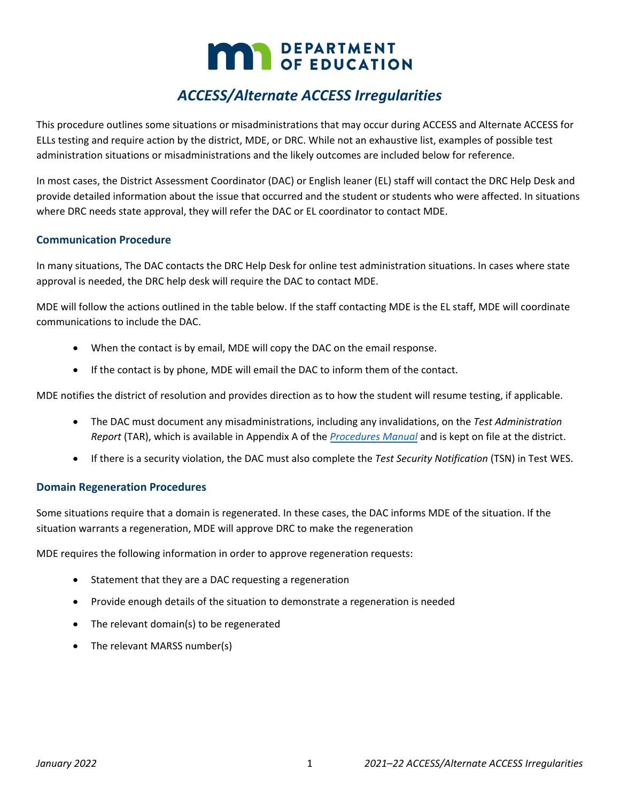# **MAY DEPARTMENT**

## *ACCESS/Alternate ACCESS Irregularities*

This procedure outlines some situations or misadministrations that may occur during ACCESS and Alternate ACCESS for ELLs testing and require action by the district, MDE, or DRC. While not an exhaustive list, examples of possible test administration situations or misadministrations and the likely outcomes are included below for reference.

In most cases, the District Assessment Coordinator (DAC) or English leaner (EL) staff will contact the DRC Help Desk and provide detailed information about the issue that occurred and the student or students who were affected. In situations where DRC needs state approval, they will refer the DAC or EL coordinator to contact MDE.

#### **Communication Procedure**

In many situations, The DAC contacts the DRC Help Desk for online test administration situations. In cases where state approval is needed, the DRC help desk will require the DAC to contact MDE.

MDE will follow the actions outlined in the table below. If the staff contacting MDE is the EL staff, MDE will coordinate communications to include the DAC.

- When the contact is by email, MDE will copy the DAC on the email response.
- If the contact is by phone, MDE will email the DAC to inform them of the contact.

MDE notifies the district of resolution and provides direction as to how the student will resume testing, if applicable.

- The DAC must document any misadministrations, including any invalidations, on the *Test Administration Report* (TAR), which is available in Appendix A of the *[Procedures Manual](http://minnesota.pearsonaccessnext.com/policies-and-procedures/)* and is kept on file at the district.
- If there is a security violation, the DAC must also complete the *Test Security Notification* (TSN) in Test WES.

#### **Domain Regeneration Procedures**

Some situations require that a domain is regenerated. In these cases, the DAC informs MDE of the situation. If the situation warrants a regeneration, MDE will approve DRC to make the regeneration

MDE requires the following information in order to approve regeneration requests:

- Statement that they are a DAC requesting a regeneration
- Provide enough details of the situation to demonstrate a regeneration is needed
- The relevant domain(s) to be regenerated
- The relevant MARSS number(s)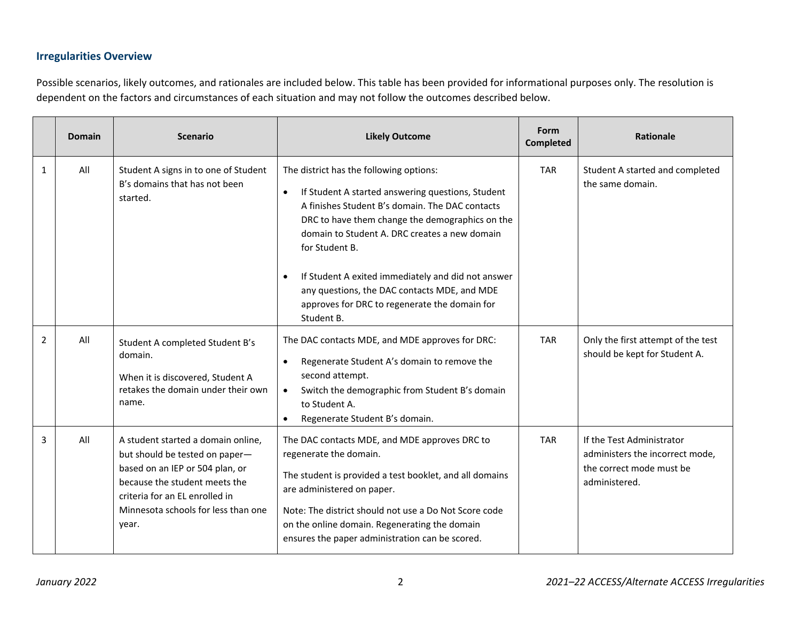### **Irregularities Overview**

Possible scenarios, likely outcomes, and rationales are included below. This table has been provided for informational purposes only. The resolution is dependent on the factors and circumstances of each situation and may not follow the outcomes described below.

|                | <b>Domain</b> | <b>Scenario</b>                                                                                                                                                                                                            | <b>Likely Outcome</b>                                                                                                                                                                                                                                                                                                                                                                                                                      | Form<br><b>Completed</b> | <b>Rationale</b>                                                                                          |
|----------------|---------------|----------------------------------------------------------------------------------------------------------------------------------------------------------------------------------------------------------------------------|--------------------------------------------------------------------------------------------------------------------------------------------------------------------------------------------------------------------------------------------------------------------------------------------------------------------------------------------------------------------------------------------------------------------------------------------|--------------------------|-----------------------------------------------------------------------------------------------------------|
| $\mathbf{1}$   | All           | Student A signs in to one of Student<br>B's domains that has not been<br>started.                                                                                                                                          | The district has the following options:<br>If Student A started answering questions, Student<br>A finishes Student B's domain. The DAC contacts<br>DRC to have them change the demographics on the<br>domain to Student A. DRC creates a new domain<br>for Student B.<br>If Student A exited immediately and did not answer<br>any questions, the DAC contacts MDE, and MDE<br>approves for DRC to regenerate the domain for<br>Student B. | <b>TAR</b>               | Student A started and completed<br>the same domain.                                                       |
| $\overline{2}$ | All           | Student A completed Student B's<br>domain.<br>When it is discovered, Student A<br>retakes the domain under their own<br>name.                                                                                              | The DAC contacts MDE, and MDE approves for DRC:<br>Regenerate Student A's domain to remove the<br>second attempt.<br>Switch the demographic from Student B's domain<br>to Student A.<br>Regenerate Student B's domain.                                                                                                                                                                                                                     | <b>TAR</b>               | Only the first attempt of the test<br>should be kept for Student A.                                       |
| 3              | All           | A student started a domain online,<br>but should be tested on paper-<br>based on an IEP or 504 plan, or<br>because the student meets the<br>criteria for an EL enrolled in<br>Minnesota schools for less than one<br>year. | The DAC contacts MDE, and MDE approves DRC to<br>regenerate the domain.<br>The student is provided a test booklet, and all domains<br>are administered on paper.<br>Note: The district should not use a Do Not Score code<br>on the online domain. Regenerating the domain<br>ensures the paper administration can be scored.                                                                                                              | <b>TAR</b>               | If the Test Administrator<br>administers the incorrect mode,<br>the correct mode must be<br>administered. |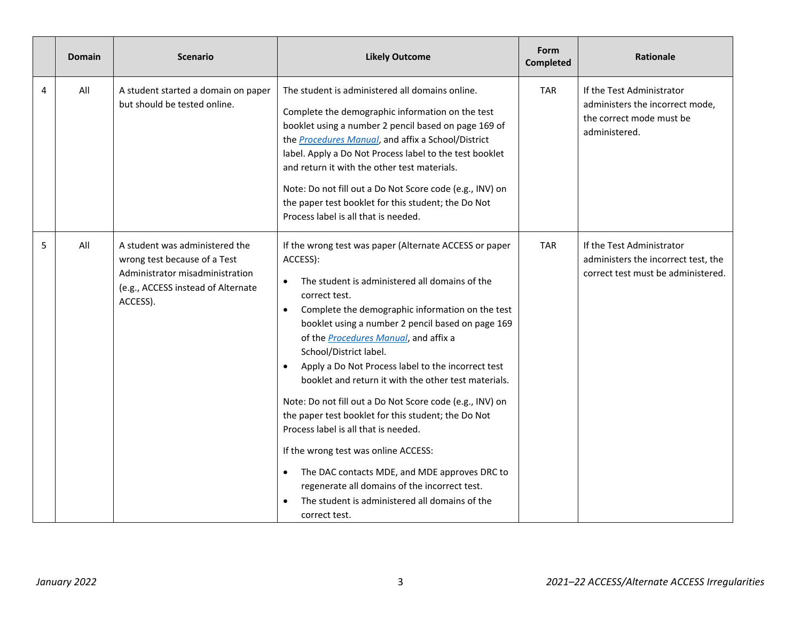|   | <b>Domain</b> | <b>Scenario</b>                                                                                                                                     | <b>Likely Outcome</b>                                                                                                                                                                                                                                                                                                                                                                                                                                                                                                                                                                                                                                                                                                                                                                                                | <b>Form</b><br><b>Completed</b> | <b>Rationale</b>                                                                                          |
|---|---------------|-----------------------------------------------------------------------------------------------------------------------------------------------------|----------------------------------------------------------------------------------------------------------------------------------------------------------------------------------------------------------------------------------------------------------------------------------------------------------------------------------------------------------------------------------------------------------------------------------------------------------------------------------------------------------------------------------------------------------------------------------------------------------------------------------------------------------------------------------------------------------------------------------------------------------------------------------------------------------------------|---------------------------------|-----------------------------------------------------------------------------------------------------------|
| 4 | All           | A student started a domain on paper<br>but should be tested online.                                                                                 | The student is administered all domains online.<br>Complete the demographic information on the test<br>booklet using a number 2 pencil based on page 169 of<br>the <b>Procedures Manual</b> , and affix a School/District<br>label. Apply a Do Not Process label to the test booklet<br>and return it with the other test materials.<br>Note: Do not fill out a Do Not Score code (e.g., INV) on<br>the paper test booklet for this student; the Do Not<br>Process label is all that is needed.                                                                                                                                                                                                                                                                                                                      | <b>TAR</b>                      | If the Test Administrator<br>administers the incorrect mode,<br>the correct mode must be<br>administered. |
| 5 | All           | A student was administered the<br>wrong test because of a Test<br>Administrator misadministration<br>(e.g., ACCESS instead of Alternate<br>ACCESS). | If the wrong test was paper (Alternate ACCESS or paper<br>ACCESS):<br>The student is administered all domains of the<br>$\bullet$<br>correct test.<br>Complete the demographic information on the test<br>booklet using a number 2 pencil based on page 169<br>of the Procedures Manual, and affix a<br>School/District label.<br>Apply a Do Not Process label to the incorrect test<br>booklet and return it with the other test materials.<br>Note: Do not fill out a Do Not Score code (e.g., INV) on<br>the paper test booklet for this student; the Do Not<br>Process label is all that is needed.<br>If the wrong test was online ACCESS:<br>The DAC contacts MDE, and MDE approves DRC to<br>regenerate all domains of the incorrect test.<br>The student is administered all domains of the<br>correct test. | <b>TAR</b>                      | If the Test Administrator<br>administers the incorrect test, the<br>correct test must be administered.    |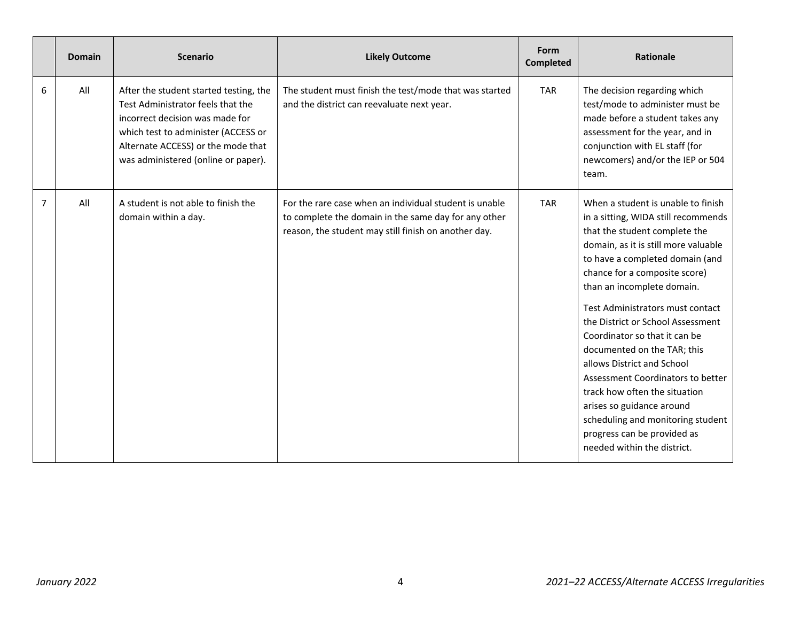|                | <b>Domain</b> | <b>Scenario</b>                                                                                                                                                                                                                    | <b>Likely Outcome</b>                                                                                                                                                  | Form<br>Completed | <b>Rationale</b>                                                                                                                                                                                                                                                                                                                                                                                                                                                                                                                                                                                                                  |
|----------------|---------------|------------------------------------------------------------------------------------------------------------------------------------------------------------------------------------------------------------------------------------|------------------------------------------------------------------------------------------------------------------------------------------------------------------------|-------------------|-----------------------------------------------------------------------------------------------------------------------------------------------------------------------------------------------------------------------------------------------------------------------------------------------------------------------------------------------------------------------------------------------------------------------------------------------------------------------------------------------------------------------------------------------------------------------------------------------------------------------------------|
| 6              | All           | After the student started testing, the<br>Test Administrator feels that the<br>incorrect decision was made for<br>which test to administer (ACCESS or<br>Alternate ACCESS) or the mode that<br>was administered (online or paper). | The student must finish the test/mode that was started<br>and the district can reevaluate next year.                                                                   | <b>TAR</b>        | The decision regarding which<br>test/mode to administer must be<br>made before a student takes any<br>assessment for the year, and in<br>conjunction with EL staff (for<br>newcomers) and/or the IEP or 504<br>team.                                                                                                                                                                                                                                                                                                                                                                                                              |
| $\overline{7}$ | All           | A student is not able to finish the<br>domain within a day.                                                                                                                                                                        | For the rare case when an individual student is unable<br>to complete the domain in the same day for any other<br>reason, the student may still finish on another day. | <b>TAR</b>        | When a student is unable to finish<br>in a sitting, WIDA still recommends<br>that the student complete the<br>domain, as it is still more valuable<br>to have a completed domain (and<br>chance for a composite score)<br>than an incomplete domain.<br>Test Administrators must contact<br>the District or School Assessment<br>Coordinator so that it can be<br>documented on the TAR; this<br>allows District and School<br>Assessment Coordinators to better<br>track how often the situation<br>arises so guidance around<br>scheduling and monitoring student<br>progress can be provided as<br>needed within the district. |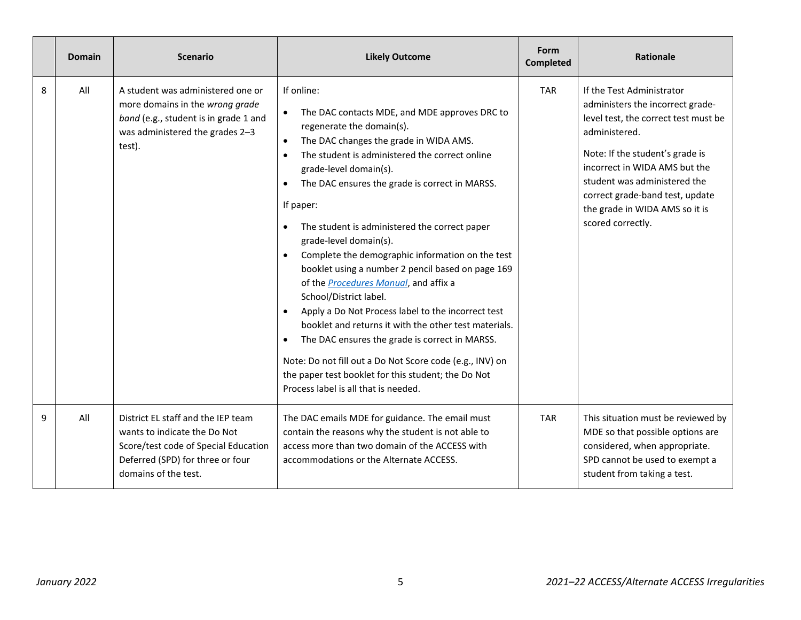|   | <b>Domain</b> | <b>Scenario</b>                                                                                                                                                        | <b>Likely Outcome</b>                                                                                                                                                                                                                                                                                                                                                                                                                                                                                                                                                                                                                                                                                                                                                                                                                                                                              | Form<br><b>Completed</b> | <b>Rationale</b>                                                                                                                                                                                                                                                                                                     |
|---|---------------|------------------------------------------------------------------------------------------------------------------------------------------------------------------------|----------------------------------------------------------------------------------------------------------------------------------------------------------------------------------------------------------------------------------------------------------------------------------------------------------------------------------------------------------------------------------------------------------------------------------------------------------------------------------------------------------------------------------------------------------------------------------------------------------------------------------------------------------------------------------------------------------------------------------------------------------------------------------------------------------------------------------------------------------------------------------------------------|--------------------------|----------------------------------------------------------------------------------------------------------------------------------------------------------------------------------------------------------------------------------------------------------------------------------------------------------------------|
| 8 | All           | A student was administered one or<br>more domains in the wrong grade<br>band (e.g., student is in grade 1 and<br>was administered the grades 2-3<br>test).             | If online:<br>The DAC contacts MDE, and MDE approves DRC to<br>regenerate the domain(s).<br>The DAC changes the grade in WIDA AMS.<br>The student is administered the correct online<br>$\bullet$<br>grade-level domain(s).<br>The DAC ensures the grade is correct in MARSS.<br>If paper:<br>The student is administered the correct paper<br>grade-level domain(s).<br>Complete the demographic information on the test<br>booklet using a number 2 pencil based on page 169<br>of the <b>Procedures Manual</b> , and affix a<br>School/District label.<br>Apply a Do Not Process label to the incorrect test<br>$\bullet$<br>booklet and returns it with the other test materials.<br>The DAC ensures the grade is correct in MARSS.<br>Note: Do not fill out a Do Not Score code (e.g., INV) on<br>the paper test booklet for this student; the Do Not<br>Process label is all that is needed. | <b>TAR</b>               | If the Test Administrator<br>administers the incorrect grade-<br>level test, the correct test must be<br>administered.<br>Note: If the student's grade is<br>incorrect in WIDA AMS but the<br>student was administered the<br>correct grade-band test, update<br>the grade in WIDA AMS so it is<br>scored correctly. |
| 9 | All           | District EL staff and the IEP team<br>wants to indicate the Do Not<br>Score/test code of Special Education<br>Deferred (SPD) for three or four<br>domains of the test. | The DAC emails MDE for guidance. The email must<br>contain the reasons why the student is not able to<br>access more than two domain of the ACCESS with<br>accommodations or the Alternate ACCESS.                                                                                                                                                                                                                                                                                                                                                                                                                                                                                                                                                                                                                                                                                                 | <b>TAR</b>               | This situation must be reviewed by<br>MDE so that possible options are<br>considered, when appropriate.<br>SPD cannot be used to exempt a<br>student from taking a test.                                                                                                                                             |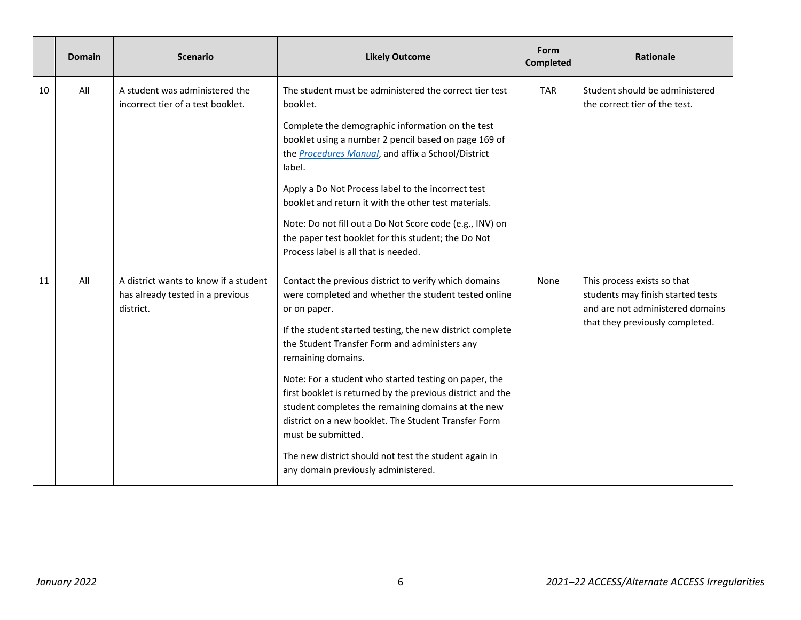|    | <b>Domain</b> | <b>Scenario</b>                                                                        | <b>Likely Outcome</b>                                                                                                                                                                                                                                                                                                                                                                                                                                                                                                                                                                                                        | Form<br><b>Completed</b> | <b>Rationale</b>                                                                                                                        |
|----|---------------|----------------------------------------------------------------------------------------|------------------------------------------------------------------------------------------------------------------------------------------------------------------------------------------------------------------------------------------------------------------------------------------------------------------------------------------------------------------------------------------------------------------------------------------------------------------------------------------------------------------------------------------------------------------------------------------------------------------------------|--------------------------|-----------------------------------------------------------------------------------------------------------------------------------------|
| 10 | All           | A student was administered the<br>incorrect tier of a test booklet.                    | The student must be administered the correct tier test<br>booklet.<br>Complete the demographic information on the test<br>booklet using a number 2 pencil based on page 169 of<br>the <b>Procedures Manual</b> , and affix a School/District<br>label.<br>Apply a Do Not Process label to the incorrect test<br>booklet and return it with the other test materials.<br>Note: Do not fill out a Do Not Score code (e.g., INV) on<br>the paper test booklet for this student; the Do Not<br>Process label is all that is needed.                                                                                              | <b>TAR</b>               | Student should be administered<br>the correct tier of the test.                                                                         |
| 11 | All           | A district wants to know if a student<br>has already tested in a previous<br>district. | Contact the previous district to verify which domains<br>were completed and whether the student tested online<br>or on paper.<br>If the student started testing, the new district complete<br>the Student Transfer Form and administers any<br>remaining domains.<br>Note: For a student who started testing on paper, the<br>first booklet is returned by the previous district and the<br>student completes the remaining domains at the new<br>district on a new booklet. The Student Transfer Form<br>must be submitted.<br>The new district should not test the student again in<br>any domain previously administered. | None                     | This process exists so that<br>students may finish started tests<br>and are not administered domains<br>that they previously completed. |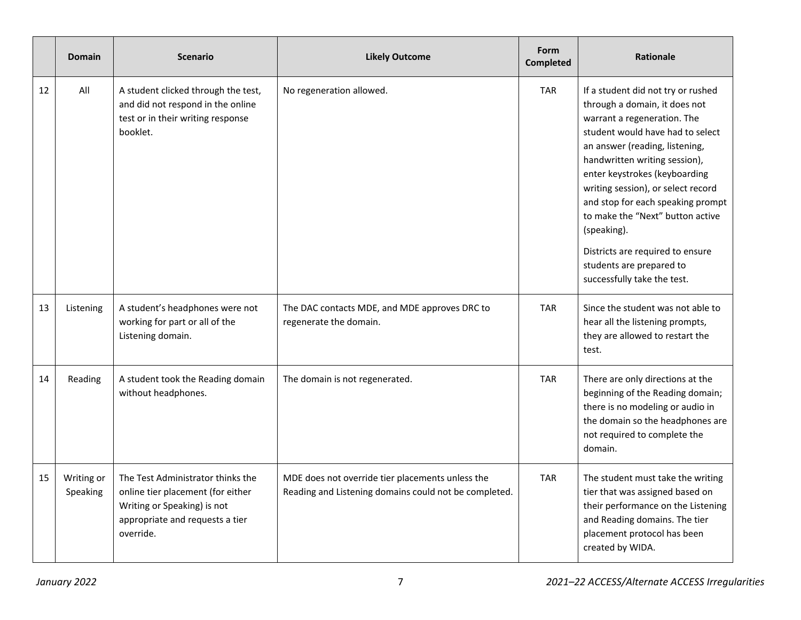|    | <b>Domain</b>          | <b>Scenario</b>                                                                                                                                       | <b>Likely Outcome</b>                                                                                     | Form<br><b>Completed</b> | <b>Rationale</b>                                                                                                                                                                                                                                                                                                                                                                                                                                                        |
|----|------------------------|-------------------------------------------------------------------------------------------------------------------------------------------------------|-----------------------------------------------------------------------------------------------------------|--------------------------|-------------------------------------------------------------------------------------------------------------------------------------------------------------------------------------------------------------------------------------------------------------------------------------------------------------------------------------------------------------------------------------------------------------------------------------------------------------------------|
| 12 | All                    | A student clicked through the test,<br>and did not respond in the online<br>test or in their writing response<br>booklet.                             | No regeneration allowed.                                                                                  | <b>TAR</b>               | If a student did not try or rushed<br>through a domain, it does not<br>warrant a regeneration. The<br>student would have had to select<br>an answer (reading, listening,<br>handwritten writing session),<br>enter keystrokes (keyboarding<br>writing session), or select record<br>and stop for each speaking prompt<br>to make the "Next" button active<br>(speaking).<br>Districts are required to ensure<br>students are prepared to<br>successfully take the test. |
| 13 | Listening              | A student's headphones were not<br>working for part or all of the<br>Listening domain.                                                                | The DAC contacts MDE, and MDE approves DRC to<br>regenerate the domain.                                   | <b>TAR</b>               | Since the student was not able to<br>hear all the listening prompts,<br>they are allowed to restart the<br>test.                                                                                                                                                                                                                                                                                                                                                        |
| 14 | Reading                | A student took the Reading domain<br>without headphones.                                                                                              | The domain is not regenerated.                                                                            | <b>TAR</b>               | There are only directions at the<br>beginning of the Reading domain;<br>there is no modeling or audio in<br>the domain so the headphones are<br>not required to complete the<br>domain.                                                                                                                                                                                                                                                                                 |
| 15 | Writing or<br>Speaking | The Test Administrator thinks the<br>online tier placement (for either<br>Writing or Speaking) is not<br>appropriate and requests a tier<br>override. | MDE does not override tier placements unless the<br>Reading and Listening domains could not be completed. | <b>TAR</b>               | The student must take the writing<br>tier that was assigned based on<br>their performance on the Listening<br>and Reading domains. The tier<br>placement protocol has been<br>created by WIDA.                                                                                                                                                                                                                                                                          |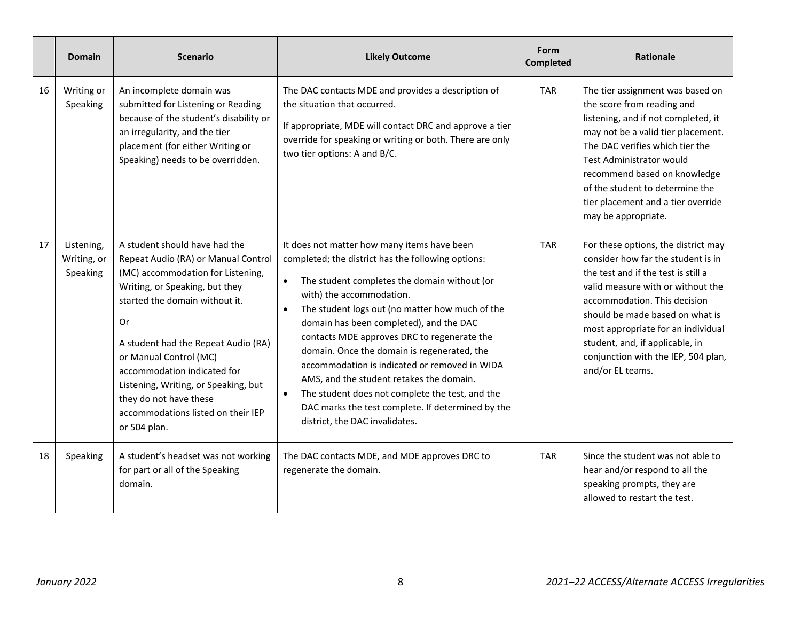|    | <b>Domain</b>                         | <b>Scenario</b>                                                                                                                                                                                                                                                                                                                                                                                             | <b>Likely Outcome</b>                                                                                                                                                                                                                                                                                                                                                                                                                                                                                                                                                                                            | Form<br><b>Completed</b> | <b>Rationale</b>                                                                                                                                                                                                                                                                                                                                             |
|----|---------------------------------------|-------------------------------------------------------------------------------------------------------------------------------------------------------------------------------------------------------------------------------------------------------------------------------------------------------------------------------------------------------------------------------------------------------------|------------------------------------------------------------------------------------------------------------------------------------------------------------------------------------------------------------------------------------------------------------------------------------------------------------------------------------------------------------------------------------------------------------------------------------------------------------------------------------------------------------------------------------------------------------------------------------------------------------------|--------------------------|--------------------------------------------------------------------------------------------------------------------------------------------------------------------------------------------------------------------------------------------------------------------------------------------------------------------------------------------------------------|
| 16 | Writing or<br>Speaking                | An incomplete domain was<br>submitted for Listening or Reading<br>because of the student's disability or<br>an irregularity, and the tier<br>placement (for either Writing or<br>Speaking) needs to be overridden.                                                                                                                                                                                          | The DAC contacts MDE and provides a description of<br>the situation that occurred.<br>If appropriate, MDE will contact DRC and approve a tier<br>override for speaking or writing or both. There are only<br>two tier options: A and B/C.                                                                                                                                                                                                                                                                                                                                                                        | <b>TAR</b>               | The tier assignment was based on<br>the score from reading and<br>listening, and if not completed, it<br>may not be a valid tier placement.<br>The DAC verifies which tier the<br>Test Administrator would<br>recommend based on knowledge<br>of the student to determine the<br>tier placement and a tier override<br>may be appropriate.                   |
| 17 | Listening,<br>Writing, or<br>Speaking | A student should have had the<br>Repeat Audio (RA) or Manual Control<br>(MC) accommodation for Listening,<br>Writing, or Speaking, but they<br>started the domain without it.<br>Or<br>A student had the Repeat Audio (RA)<br>or Manual Control (MC)<br>accommodation indicated for<br>Listening, Writing, or Speaking, but<br>they do not have these<br>accommodations listed on their IEP<br>or 504 plan. | It does not matter how many items have been<br>completed; the district has the following options:<br>The student completes the domain without (or<br>with) the accommodation.<br>The student logs out (no matter how much of the<br>domain has been completed), and the DAC<br>contacts MDE approves DRC to regenerate the<br>domain. Once the domain is regenerated, the<br>accommodation is indicated or removed in WIDA<br>AMS, and the student retakes the domain.<br>The student does not complete the test, and the<br>DAC marks the test complete. If determined by the<br>district, the DAC invalidates. | <b>TAR</b>               | For these options, the district may<br>consider how far the student is in<br>the test and if the test is still a<br>valid measure with or without the<br>accommodation. This decision<br>should be made based on what is<br>most appropriate for an individual<br>student, and, if applicable, in<br>conjunction with the IEP, 504 plan,<br>and/or EL teams. |
| 18 | Speaking                              | A student's headset was not working<br>for part or all of the Speaking<br>domain.                                                                                                                                                                                                                                                                                                                           | The DAC contacts MDE, and MDE approves DRC to<br>regenerate the domain.                                                                                                                                                                                                                                                                                                                                                                                                                                                                                                                                          | <b>TAR</b>               | Since the student was not able to<br>hear and/or respond to all the<br>speaking prompts, they are<br>allowed to restart the test.                                                                                                                                                                                                                            |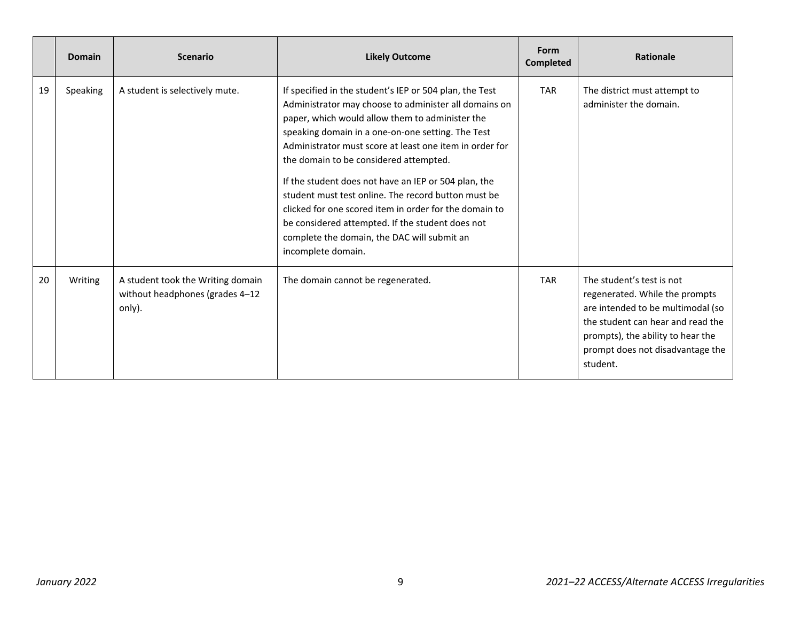|    | <b>Domain</b> | <b>Scenario</b>                                                                | <b>Likely Outcome</b>                                                                                                                                                                                                                                                                                                                                                                                                                                                                                                                                                                                                           | Form<br><b>Completed</b> | <b>Rationale</b>                                                                                                                                                                                                           |
|----|---------------|--------------------------------------------------------------------------------|---------------------------------------------------------------------------------------------------------------------------------------------------------------------------------------------------------------------------------------------------------------------------------------------------------------------------------------------------------------------------------------------------------------------------------------------------------------------------------------------------------------------------------------------------------------------------------------------------------------------------------|--------------------------|----------------------------------------------------------------------------------------------------------------------------------------------------------------------------------------------------------------------------|
| 19 | Speaking      | A student is selectively mute.                                                 | If specified in the student's IEP or 504 plan, the Test<br>Administrator may choose to administer all domains on<br>paper, which would allow them to administer the<br>speaking domain in a one-on-one setting. The Test<br>Administrator must score at least one item in order for<br>the domain to be considered attempted.<br>If the student does not have an IEP or 504 plan, the<br>student must test online. The record button must be<br>clicked for one scored item in order for the domain to<br>be considered attempted. If the student does not<br>complete the domain, the DAC will submit an<br>incomplete domain. | <b>TAR</b>               | The district must attempt to<br>administer the domain.                                                                                                                                                                     |
| 20 | Writing       | A student took the Writing domain<br>without headphones (grades 4-12<br>only). | The domain cannot be regenerated.                                                                                                                                                                                                                                                                                                                                                                                                                                                                                                                                                                                               | <b>TAR</b>               | The student's test is not<br>regenerated. While the prompts<br>are intended to be multimodal (so<br>the student can hear and read the<br>prompts), the ability to hear the<br>prompt does not disadvantage the<br>student. |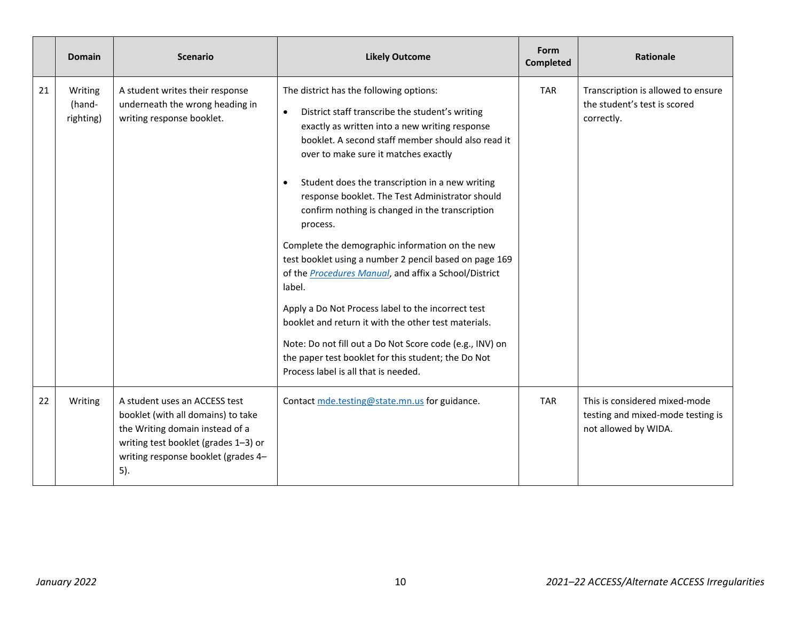|    | <b>Domain</b>                  | <b>Scenario</b>                                                                                                                                                                              | <b>Likely Outcome</b>                                                                                                                                                                                                                                                                                                                                                                                                                                                                                                                                                                                                                                                                                                                                                                                                                                                                         | Form<br><b>Completed</b> | Rationale                                                                                  |
|----|--------------------------------|----------------------------------------------------------------------------------------------------------------------------------------------------------------------------------------------|-----------------------------------------------------------------------------------------------------------------------------------------------------------------------------------------------------------------------------------------------------------------------------------------------------------------------------------------------------------------------------------------------------------------------------------------------------------------------------------------------------------------------------------------------------------------------------------------------------------------------------------------------------------------------------------------------------------------------------------------------------------------------------------------------------------------------------------------------------------------------------------------------|--------------------------|--------------------------------------------------------------------------------------------|
| 21 | Writing<br>(hand-<br>righting) | A student writes their response<br>underneath the wrong heading in<br>writing response booklet.                                                                                              | The district has the following options:<br>District staff transcribe the student's writing<br>$\bullet$<br>exactly as written into a new writing response<br>booklet. A second staff member should also read it<br>over to make sure it matches exactly<br>Student does the transcription in a new writing<br>response booklet. The Test Administrator should<br>confirm nothing is changed in the transcription<br>process.<br>Complete the demographic information on the new<br>test booklet using a number 2 pencil based on page 169<br>of the <b>Procedures Manual</b> , and affix a School/District<br>label.<br>Apply a Do Not Process label to the incorrect test<br>booklet and return it with the other test materials.<br>Note: Do not fill out a Do Not Score code (e.g., INV) on<br>the paper test booklet for this student; the Do Not<br>Process label is all that is needed. | <b>TAR</b>               | Transcription is allowed to ensure<br>the student's test is scored<br>correctly.           |
| 22 | Writing                        | A student uses an ACCESS test<br>booklet (with all domains) to take<br>the Writing domain instead of a<br>writing test booklet (grades 1-3) or<br>writing response booklet (grades 4-<br>5). | Contact mde.testing@state.mn.us for guidance.                                                                                                                                                                                                                                                                                                                                                                                                                                                                                                                                                                                                                                                                                                                                                                                                                                                 | <b>TAR</b>               | This is considered mixed-mode<br>testing and mixed-mode testing is<br>not allowed by WIDA. |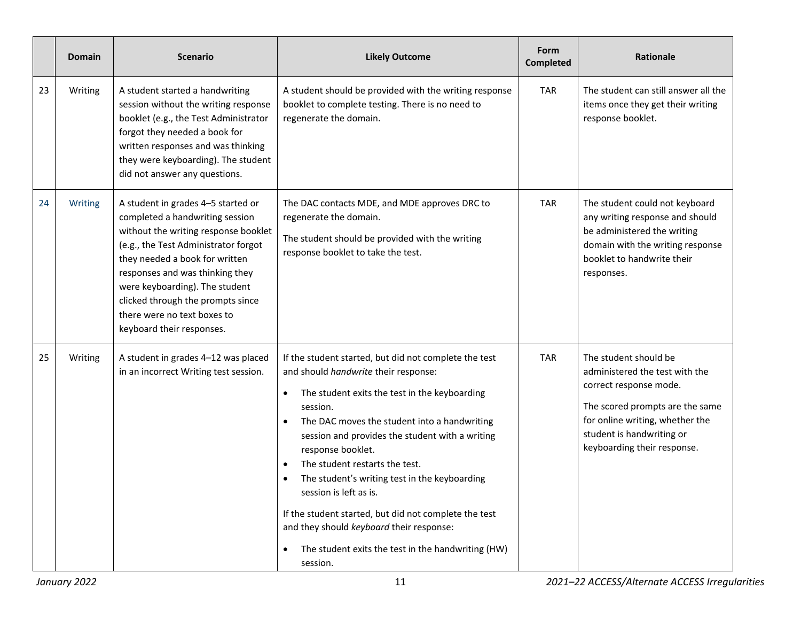|    | Domain  | <b>Scenario</b>                                                                                                                                                                                                                                                                                                                                               | <b>Likely Outcome</b>                                                                                                                                                                                                                                                                                                                                                                                                                                                                                                                                                                                         | Form<br><b>Completed</b> | Rationale                                                                                                                                                                                                           |
|----|---------|---------------------------------------------------------------------------------------------------------------------------------------------------------------------------------------------------------------------------------------------------------------------------------------------------------------------------------------------------------------|---------------------------------------------------------------------------------------------------------------------------------------------------------------------------------------------------------------------------------------------------------------------------------------------------------------------------------------------------------------------------------------------------------------------------------------------------------------------------------------------------------------------------------------------------------------------------------------------------------------|--------------------------|---------------------------------------------------------------------------------------------------------------------------------------------------------------------------------------------------------------------|
| 23 | Writing | A student started a handwriting<br>session without the writing response<br>booklet (e.g., the Test Administrator<br>forgot they needed a book for<br>written responses and was thinking<br>they were keyboarding). The student<br>did not answer any questions.                                                                                               | A student should be provided with the writing response<br>booklet to complete testing. There is no need to<br>regenerate the domain.                                                                                                                                                                                                                                                                                                                                                                                                                                                                          | <b>TAR</b>               | The student can still answer all the<br>items once they get their writing<br>response booklet.                                                                                                                      |
| 24 | Writing | A student in grades 4-5 started or<br>completed a handwriting session<br>without the writing response booklet<br>(e.g., the Test Administrator forgot<br>they needed a book for written<br>responses and was thinking they<br>were keyboarding). The student<br>clicked through the prompts since<br>there were no text boxes to<br>keyboard their responses. | The DAC contacts MDE, and MDE approves DRC to<br>regenerate the domain.<br>The student should be provided with the writing<br>response booklet to take the test.                                                                                                                                                                                                                                                                                                                                                                                                                                              | <b>TAR</b>               | The student could not keyboard<br>any writing response and should<br>be administered the writing<br>domain with the writing response<br>booklet to handwrite their<br>responses.                                    |
| 25 | Writing | A student in grades 4-12 was placed<br>in an incorrect Writing test session.                                                                                                                                                                                                                                                                                  | If the student started, but did not complete the test<br>and should handwrite their response:<br>The student exits the test in the keyboarding<br>$\bullet$<br>session.<br>The DAC moves the student into a handwriting<br>$\bullet$<br>session and provides the student with a writing<br>response booklet.<br>The student restarts the test.<br>The student's writing test in the keyboarding<br>session is left as is.<br>If the student started, but did not complete the test<br>and they should keyboard their response:<br>The student exits the test in the handwriting (HW)<br>$\bullet$<br>session. | <b>TAR</b>               | The student should be<br>administered the test with the<br>correct response mode.<br>The scored prompts are the same<br>for online writing, whether the<br>student is handwriting or<br>keyboarding their response. |